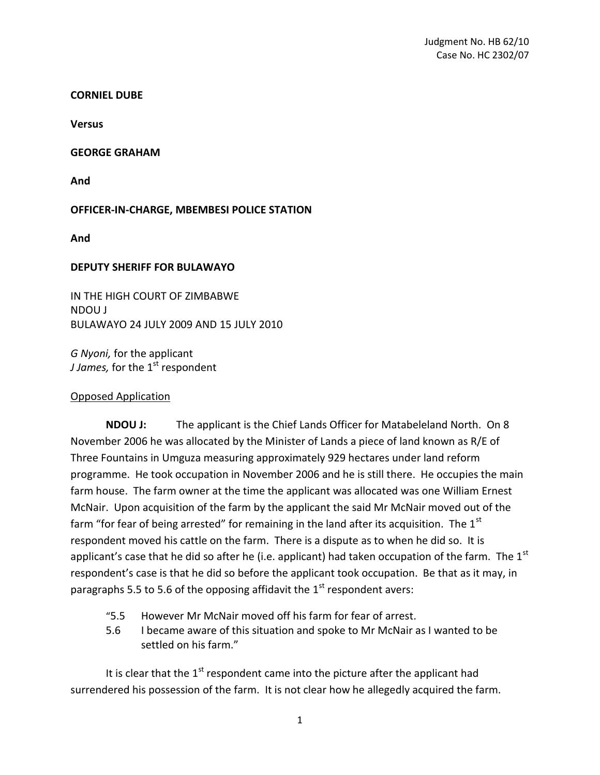#### **CORNIEL DUBE**

**Versus**

### **GEORGE GRAHAM**

**And**

# **OFFICER-IN-CHARGE, MBEMBESI POLICE STATION**

**And**

## **DEPUTY SHERIFF FOR BULAWAYO**

IN THE HIGH COURT OF ZIMBABWE NDOU J BULAWAYO 24 JULY 2009 AND 15 JULY 2010

*G Nyoni,* for the applicant *J James,* for the 1<sup>st</sup> respondent

## Opposed Application

**NDOU J:** The applicant is the Chief Lands Officer for Matabeleland North. On 8 November 2006 he was allocated by the Minister of Lands a piece of land known as R/E of Three Fountains in Umguza measuring approximately 929 hectares under land reform programme. He took occupation in November 2006 and he is still there. He occupies the main farm house. The farm owner at the time the applicant was allocated was one William Ernest McNair. Upon acquisition of the farm by the applicant the said Mr McNair moved out of the farm "for fear of being arrested" for remaining in the land after its acquisition. The  $1<sup>st</sup>$ respondent moved his cattle on the farm. There is a dispute as to when he did so. It is applicant's case that he did so after he (i.e. applicant) had taken occupation of the farm. The  $1<sup>st</sup>$ respondent's case is that he did so before the applicant took occupation. Be that as it may, in paragraphs 5.5 to 5.6 of the opposing affidavit the  $1<sup>st</sup>$  respondent avers:

- "5.5 However Mr McNair moved off his farm for fear of arrest.
- 5.6 I became aware of this situation and spoke to Mr McNair as I wanted to be settled on his farm."

It is clear that the  $1<sup>st</sup>$  respondent came into the picture after the applicant had surrendered his possession of the farm. It is not clear how he allegedly acquired the farm.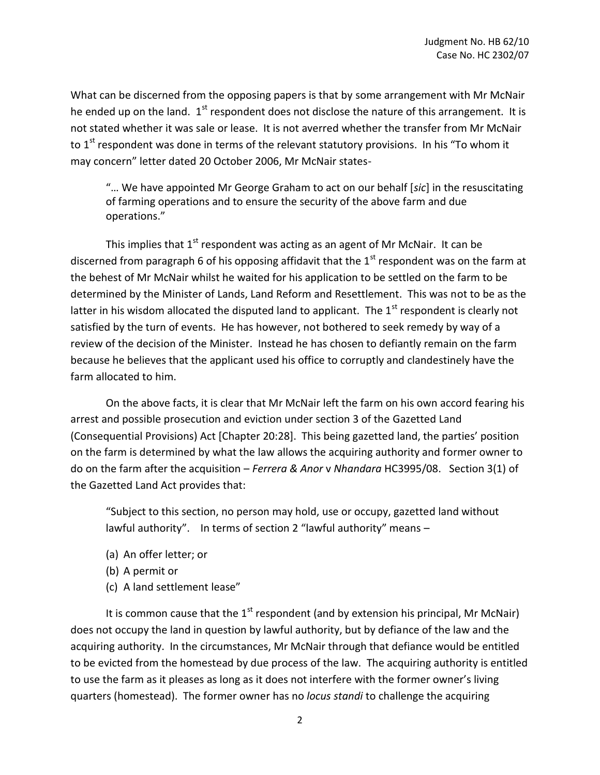What can be discerned from the opposing papers is that by some arrangement with Mr McNair he ended up on the land.  $1<sup>st</sup>$  respondent does not disclose the nature of this arrangement. It is not stated whether it was sale or lease. It is not averred whether the transfer from Mr McNair to  $1<sup>st</sup>$  respondent was done in terms of the relevant statutory provisions. In his "To whom it may concern" letter dated 20 October 2006, Mr McNair states-

"… We have appointed Mr George Graham to act on our behalf [*sic*] in the resuscitating of farming operations and to ensure the security of the above farm and due operations."

This implies that  $1<sup>st</sup>$  respondent was acting as an agent of Mr McNair. It can be discerned from paragraph 6 of his opposing affidavit that the  $1<sup>st</sup>$  respondent was on the farm at the behest of Mr McNair whilst he waited for his application to be settled on the farm to be determined by the Minister of Lands, Land Reform and Resettlement. This was not to be as the latter in his wisdom allocated the disputed land to applicant. The  $1<sup>st</sup>$  respondent is clearly not satisfied by the turn of events. He has however, not bothered to seek remedy by way of a review of the decision of the Minister. Instead he has chosen to defiantly remain on the farm because he believes that the applicant used his office to corruptly and clandestinely have the farm allocated to him.

On the above facts, it is clear that Mr McNair left the farm on his own accord fearing his arrest and possible prosecution and eviction under section 3 of the Gazetted Land (Consequential Provisions) Act [Chapter 20:28]. This being gazetted land, the parties' position on the farm is determined by what the law allows the acquiring authority and former owner to do on the farm after the acquisition – *Ferrera & Anor* v *Nhandara* HC3995/08. Section 3(1) of the Gazetted Land Act provides that:

"Subject to this section, no person may hold, use or occupy, gazetted land without lawful authority". In terms of section 2 "lawful authority" means –

- (a) An offer letter; or
- (b) A permit or
- (c) A land settlement lease"

It is common cause that the  $1<sup>st</sup>$  respondent (and by extension his principal, Mr McNair) does not occupy the land in question by lawful authority, but by defiance of the law and the acquiring authority. In the circumstances, Mr McNair through that defiance would be entitled to be evicted from the homestead by due process of the law. The acquiring authority is entitled to use the farm as it pleases as long as it does not interfere with the former owner's living quarters (homestead). The former owner has no *locus standi* to challenge the acquiring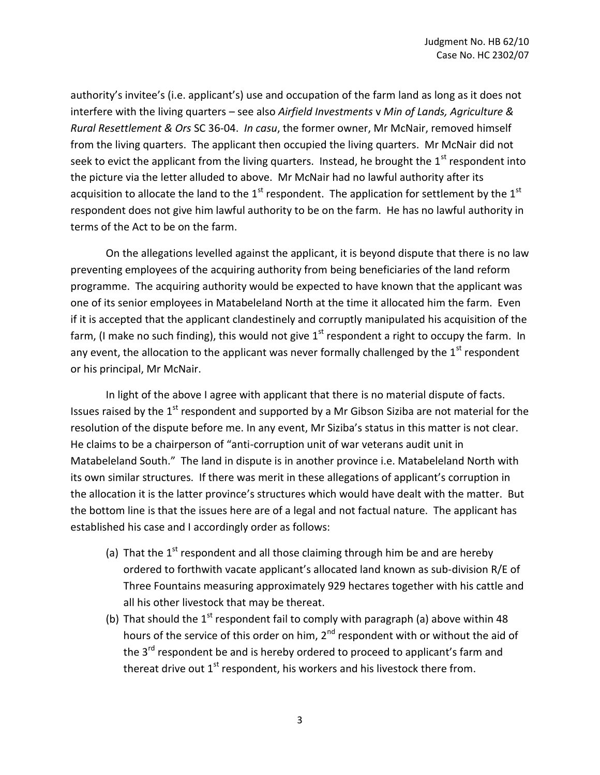authority's invitee's (i.e. applicant's) use and occupation of the farm land as long as it does not interfere with the living quarters – see also *Airfield Investments* v *Min of Lands, Agriculture & Rural Resettlement & Ors* SC 36-04. *In casu*, the former owner, Mr McNair, removed himself from the living quarters. The applicant then occupied the living quarters. Mr McNair did not seek to evict the applicant from the living quarters. Instead, he brought the  $1<sup>st</sup>$  respondent into the picture via the letter alluded to above. Mr McNair had no lawful authority after its acquisition to allocate the land to the  $1<sup>st</sup>$  respondent. The application for settlement by the  $1<sup>st</sup>$ respondent does not give him lawful authority to be on the farm. He has no lawful authority in terms of the Act to be on the farm.

On the allegations levelled against the applicant, it is beyond dispute that there is no law preventing employees of the acquiring authority from being beneficiaries of the land reform programme. The acquiring authority would be expected to have known that the applicant was one of its senior employees in Matabeleland North at the time it allocated him the farm. Even if it is accepted that the applicant clandestinely and corruptly manipulated his acquisition of the farm, (I make no such finding), this would not give  $1<sup>st</sup>$  respondent a right to occupy the farm. In any event, the allocation to the applicant was never formally challenged by the  $1<sup>st</sup>$  respondent or his principal, Mr McNair.

In light of the above I agree with applicant that there is no material dispute of facts. Issues raised by the  $1<sup>st</sup>$  respondent and supported by a Mr Gibson Siziba are not material for the resolution of the dispute before me. In any event, Mr Siziba's status in this matter is not clear. He claims to be a chairperson of "anti-corruption unit of war veterans audit unit in Matabeleland South." The land in dispute is in another province i.e. Matabeleland North with its own similar structures. If there was merit in these allegations of applicant's corruption in the allocation it is the latter province's structures which would have dealt with the matter. But the bottom line is that the issues here are of a legal and not factual nature. The applicant has established his case and I accordingly order as follows:

- (a) That the  $1<sup>st</sup>$  respondent and all those claiming through him be and are hereby ordered to forthwith vacate applicant's allocated land known as sub-division R/E of Three Fountains measuring approximately 929 hectares together with his cattle and all his other livestock that may be thereat.
- (b) That should the  $1<sup>st</sup>$  respondent fail to comply with paragraph (a) above within 48 hours of the service of this order on him, 2<sup>nd</sup> respondent with or without the aid of the 3<sup>rd</sup> respondent be and is hereby ordered to proceed to applicant's farm and thereat drive out  $1<sup>st</sup>$  respondent, his workers and his livestock there from.